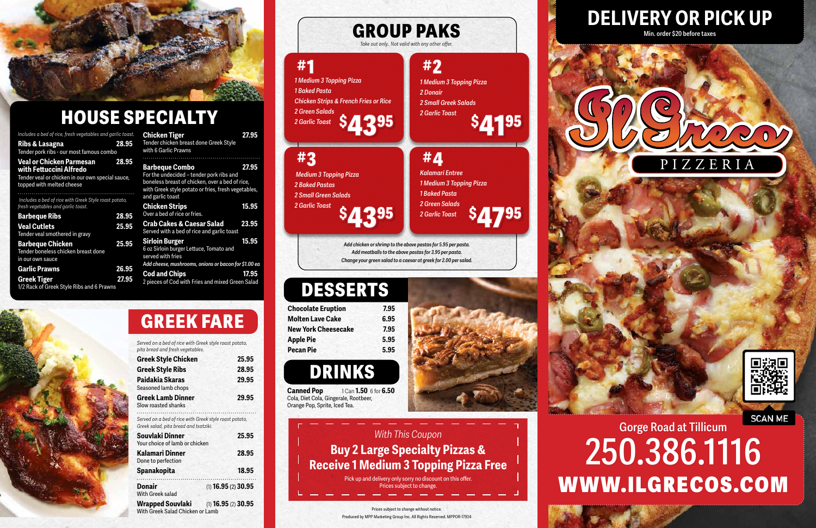## **SCAN ME Gorge Road at Tillicum 250.386.1116** WWW.ILGRECOS.COM

## **DELIVERY OR PICK UP Min. order \$20 before taxes**



### Prices subject to change without notice. Produced by MPP Marketing Group Inc. All Rights Reserved. MPPOR-17934





**Canned Pop** 1 Can **1.50** 6 for **6.50** Cola, Diet Cola, Gingerale, Rootbeer, Orange Pop, Sprite, Iced Tea.

| <b>Chocolate Eruption</b>  | 7.95 |
|----------------------------|------|
| <b>Molten Lave Cake</b>    | 6.95 |
| <b>New York Cheesecake</b> | 7.95 |
| <b>Apple Pie</b>           | 5.95 |
| Pecan Pie                  | 5.95 |

*Add chicken or shrimp to the above pastas for 5.95 per pasta. Add meatballs to the above pastas for 3.95 per pasta. Change your green salad to a caesar ot greek for 2.00 per salad.* 

# **DRINKS**

# **DESSERTS**

# **GROUP PAKS**

*Take out only.. Not valid with any other offer.* 

| Includes a bed of rice, fresh vegetables and garlic toast.<br>Ribs & Lasagna<br>Tender pork ribs - our most famous combo             | 28.95 | <b>Chicken Tiger</b><br>Tender chicken breast done Gre<br>with 6 Garlic Prawns                                                   |
|--------------------------------------------------------------------------------------------------------------------------------------|-------|----------------------------------------------------------------------------------------------------------------------------------|
| Veal or Chicken Parmesan<br>with Fettuccini Alfredo<br>Tender veal or chicken in our own special sauce,<br>topped with melted cheese | 28.95 | <b>Barbeque Combo</b><br>For the undecided - tender porl<br>boneless breast of chicken, ove<br>with Greek style potato or fries, |
| Includes a bed of rice with Greek Style roast potato,<br>fresh vegetables and garlic toast.                                          | 28.95 | and garlic toast<br><b>Chicken Strips</b><br>Over a bed of rice or fries.                                                        |
| <b>Barbeque Ribs</b><br><b>Veal Cutlets</b><br>Tender veal smothered in gravy                                                        | 25.95 | <b>Crab Cakes &amp; Caesar Sal</b><br>Served with a bed of rice and ga                                                           |
| <b>Barbeque Chicken</b><br>Tender boneless chicken breast done<br>in our own sauce                                                   | 25.95 | <b>Sirloin Burger</b><br>6 oz Sirloin burger Lettuce, Tom<br>served with fries                                                   |
| <b>Garlic Prawns</b>                                                                                                                 | 26.95 | Add cheese, mushrooms, onions c                                                                                                  |
| <b>Greek Tiger</b><br>1/2 Rack of Greek Style Ribs and 6 Prawns                                                                      | 27.95 | <b>Cod and Chips</b><br>2 pieces of Cod with Fries and n                                                                         |
|                                                                                                                                      |       |                                                                                                                                  |

| <b>Chicken Tiger</b>                   | 27.95 |
|----------------------------------------|-------|
| Tender chicken breast done Greek Style |       |
| with 6 Garlic Prawns                   |       |

| <b>Barbeque Combo</b><br>For the undecided - tender pork ribs and<br>boneless breast of chicken, over a bed of rice,<br>with Greek style potato or fries, fresh vegetables,<br>and garlic toast | 27.95 |
|-------------------------------------------------------------------------------------------------------------------------------------------------------------------------------------------------|-------|
| <b>Chicken Strips</b><br>Over a bed of rice or fries.                                                                                                                                           | 15.95 |
| <b>Crab Cakes &amp; Caesar Salad</b><br>Served with a bed of rice and garlic toast                                                                                                              | 23.95 |
| <b>Sirloin Burger</b><br>6 oz Sirloin burger Lettuce, Tomato and<br>served with fries                                                                                                           | 15.95 |
| Add cheese, mushrooms, onions or bacon for \$1.00 ea                                                                                                                                            |       |
| <b>Cod and Chips</b><br>2 pieces of Cod with Fries and mixed Green Salad                                                                                                                        | 17.95 |

*Served on a bed of rice with Greek style roast potato, pita bread and fresh vegetables.*

| P                                               |       |
|-------------------------------------------------|-------|
| <b>Greek Style Chicken</b>                      | 25.95 |
| <b>Greek Style Ribs</b>                         | 28.95 |
| Paidakia Skaras<br>Seasoned lamb chops          | 29.95 |
| <b>Greek Lamb Dinner</b><br>Slow roasted shanks | 29.95 |



**Donair** (1) **16.95** (2) **30.95**

With Greek salad

**Wrapped Souvlaki** (1) **16.95** (2) **30.95**

With Greek Salad Chicken or Lamb



# **HOUSE SPECIALTY**

# **GREEK FARE**



Pick up and delivery only sorry no discount on this offer. Prices subject to change.



**#1**

**#3**

# **#2**

 *Medium 3 Topping Pizza 2 Baked Pastas 2 Small Green Salads*

*1 Medium 3 Topping Pizza*

*2 Donair*

*2 Small Greek Salads*

**#4** *Kalamari Entree 1 Medium 3 Topping Pizza 1 Baked Pasta 2 Green Salads 2 Garlic Toast*  **\$ 4795**

*2 Garlic Toast* 

*2 Garlic Toast*  **\$ 4395** **\$ 4195**

**\$** *2 Garlic Toast***4395** *1 Medium 3 Topping Pizza 1 Baked Pasta Chicken Strips & French Fries or Rice 2 Green Salads*